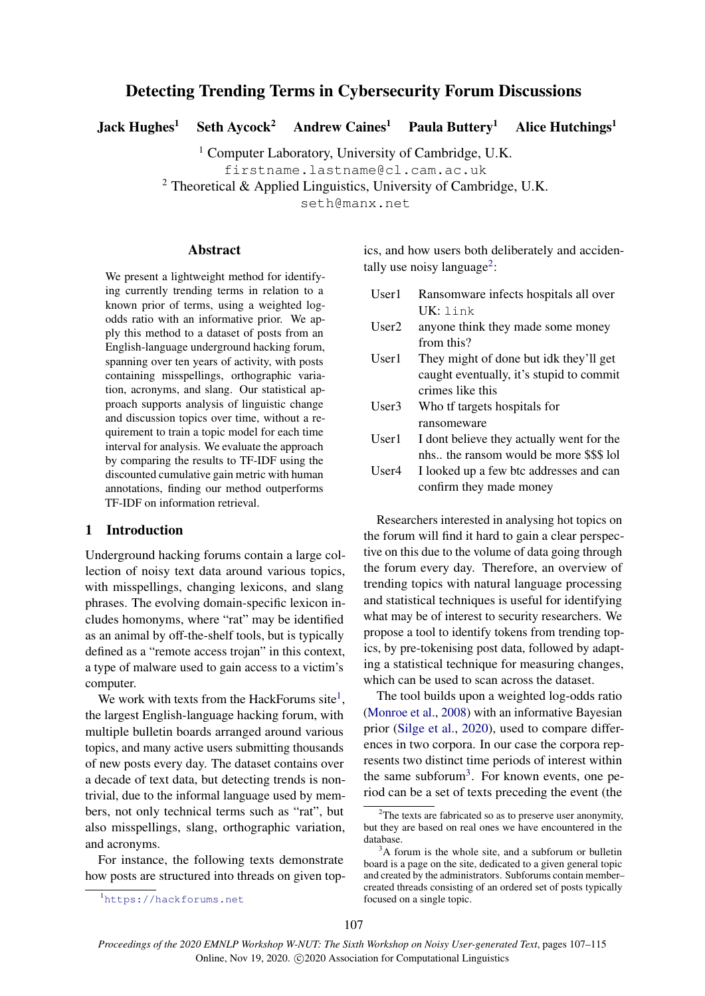# Detecting Trending Terms in Cybersecurity Forum Discussions

Jack Hughes<sup>1</sup> Seth Aycock<sup>2</sup> Andrew Caines<sup>1</sup> Paula Buttery<sup>1</sup> Alice Hutchings<sup>1</sup>

<sup>1</sup> Computer Laboratory, University of Cambridge, U.K.

firstname.lastname@cl.cam.ac.uk

<sup>2</sup> Theoretical & Applied Linguistics, University of Cambridge, U.K.

seth@manx.net

#### **Abstract**

We present a lightweight method for identifying currently trending terms in relation to a known prior of terms, using a weighted logodds ratio with an informative prior. We apply this method to a dataset of posts from an English-language underground hacking forum, spanning over ten years of activity, with posts containing misspellings, orthographic variation, acronyms, and slang. Our statistical approach supports analysis of linguistic change and discussion topics over time, without a requirement to train a topic model for each time interval for analysis. We evaluate the approach by comparing the results to TF-IDF using the discounted cumulative gain metric with human annotations, finding our method outperforms TF-IDF on information retrieval.

### 1 Introduction

Underground hacking forums contain a large collection of noisy text data around various topics, with misspellings, changing lexicons, and slang phrases. The evolving domain-specific lexicon includes homonyms, where "rat" may be identified as an animal by off-the-shelf tools, but is typically defined as a "remote access trojan" in this context, a type of malware used to gain access to a victim's computer.

We work with texts from the HackForums site<sup>[1](#page-0-0)</sup>, the largest English-language hacking forum, with multiple bulletin boards arranged around various topics, and many active users submitting thousands of new posts every day. The dataset contains over a decade of text data, but detecting trends is nontrivial, due to the informal language used by members, not only technical terms such as "rat", but also misspellings, slang, orthographic variation, and acronyms.

For instance, the following texts demonstrate how posts are structured into threads on given topics, and how users both deliberately and acciden-tally use noisy language<sup>[2](#page-0-1)</sup>:

- User1 Ransomware infects hospitals all over UK: link
- User2 anyone think they made some money from this?
- User1 They might of done but idk they'll get caught eventually, it's stupid to commit crimes like this
- User3 Who tf targets hospitals for ransomeware
- User1 I dont believe they actually went for the nhs.. the ransom would be more \$\$\$ lol
- User4 I looked up a few btc addresses and can confirm they made money

Researchers interested in analysing hot topics on the forum will find it hard to gain a clear perspective on this due to the volume of data going through the forum every day. Therefore, an overview of trending topics with natural language processing and statistical techniques is useful for identifying what may be of interest to security researchers. We propose a tool to identify tokens from trending topics, by pre-tokenising post data, followed by adapting a statistical technique for measuring changes, which can be used to scan across the dataset.

The tool builds upon a weighted log-odds ratio [\(Monroe et al.,](#page-8-0) [2008\)](#page-8-0) with an informative Bayesian prior [\(Silge et al.,](#page-8-1) [2020\)](#page-8-1), used to compare differences in two corpora. In our case the corpora represents two distinct time periods of interest within the same subforum<sup>[3](#page-0-2)</sup>. For known events, one period can be a set of texts preceding the event (the

<span id="page-0-0"></span><sup>1</sup><https://hackforums.net>

<span id="page-0-1"></span><sup>&</sup>lt;sup>2</sup>The texts are fabricated so as to preserve user anonymity, but they are based on real ones we have encountered in the database.

<span id="page-0-2"></span> $3A$  forum is the whole site, and a subforum or bulletin board is a page on the site, dedicated to a given general topic and created by the administrators. Subforums contain member– created threads consisting of an ordered set of posts typically focused on a single topic.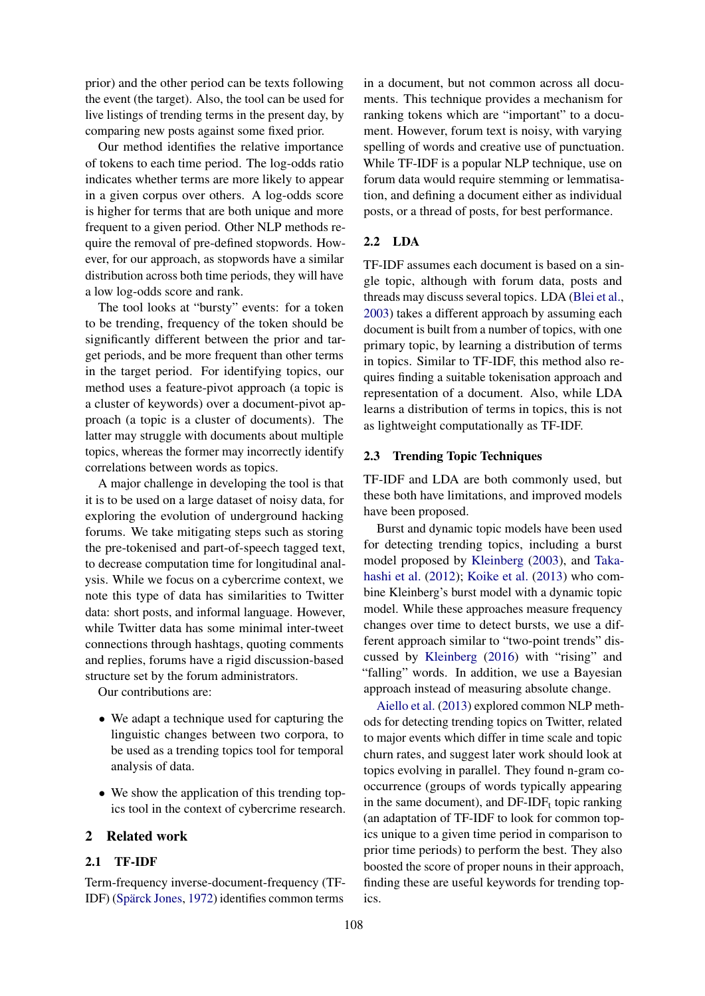prior) and the other period can be texts following the event (the target). Also, the tool can be used for live listings of trending terms in the present day, by comparing new posts against some fixed prior.

Our method identifies the relative importance of tokens to each time period. The log-odds ratio indicates whether terms are more likely to appear in a given corpus over others. A log-odds score is higher for terms that are both unique and more frequent to a given period. Other NLP methods require the removal of pre-defined stopwords. However, for our approach, as stopwords have a similar distribution across both time periods, they will have a low log-odds score and rank.

The tool looks at "bursty" events: for a token to be trending, frequency of the token should be significantly different between the prior and target periods, and be more frequent than other terms in the target period. For identifying topics, our method uses a feature-pivot approach (a topic is a cluster of keywords) over a document-pivot approach (a topic is a cluster of documents). The latter may struggle with documents about multiple topics, whereas the former may incorrectly identify correlations between words as topics.

A major challenge in developing the tool is that it is to be used on a large dataset of noisy data, for exploring the evolution of underground hacking forums. We take mitigating steps such as storing the pre-tokenised and part-of-speech tagged text, to decrease computation time for longitudinal analysis. While we focus on a cybercrime context, we note this type of data has similarities to Twitter data: short posts, and informal language. However, while Twitter data has some minimal inter-tweet connections through hashtags, quoting comments and replies, forums have a rigid discussion-based structure set by the forum administrators.

Our contributions are:

- We adapt a technique used for capturing the linguistic changes between two corpora, to be used as a trending topics tool for temporal analysis of data.
- We show the application of this trending topics tool in the context of cybercrime research.

# 2 Related work

# 2.1 TF-IDF

Term-frequency inverse-document-frequency (TF-IDF) (Spärck Jones, [1972\)](#page-8-2) identifies common terms

in a document, but not common across all documents. This technique provides a mechanism for ranking tokens which are "important" to a document. However, forum text is noisy, with varying spelling of words and creative use of punctuation. While TF-IDF is a popular NLP technique, use on forum data would require stemming or lemmatisation, and defining a document either as individual posts, or a thread of posts, for best performance.

# 2.2 LDA

TF-IDF assumes each document is based on a single topic, although with forum data, posts and threads may discuss several topics. LDA [\(Blei et al.,](#page-7-0) [2003\)](#page-7-0) takes a different approach by assuming each document is built from a number of topics, with one primary topic, by learning a distribution of terms in topics. Similar to TF-IDF, this method also requires finding a suitable tokenisation approach and representation of a document. Also, while LDA learns a distribution of terms in topics, this is not as lightweight computationally as TF-IDF.

#### 2.3 Trending Topic Techniques

TF-IDF and LDA are both commonly used, but these both have limitations, and improved models have been proposed.

Burst and dynamic topic models have been used for detecting trending topics, including a burst model proposed by [Kleinberg](#page-7-1) [\(2003\)](#page-7-1), and [Taka](#page-8-3)[hashi et al.](#page-8-3) [\(2012\)](#page-8-3); [Koike et al.](#page-8-4) [\(2013\)](#page-8-4) who combine Kleinberg's burst model with a dynamic topic model. While these approaches measure frequency changes over time to detect bursts, we use a different approach similar to "two-point trends" discussed by [Kleinberg](#page-7-2) [\(2016\)](#page-7-2) with "rising" and "falling" words. In addition, we use a Bayesian approach instead of measuring absolute change.

[Aiello et al.](#page-7-3) [\(2013\)](#page-7-3) explored common NLP methods for detecting trending topics on Twitter, related to major events which differ in time scale and topic churn rates, and suggest later work should look at topics evolving in parallel. They found n-gram cooccurrence (groups of words typically appearing in the same document), and  $DF-IDF_t$  topic ranking (an adaptation of TF-IDF to look for common topics unique to a given time period in comparison to prior time periods) to perform the best. They also boosted the score of proper nouns in their approach, finding these are useful keywords for trending topics.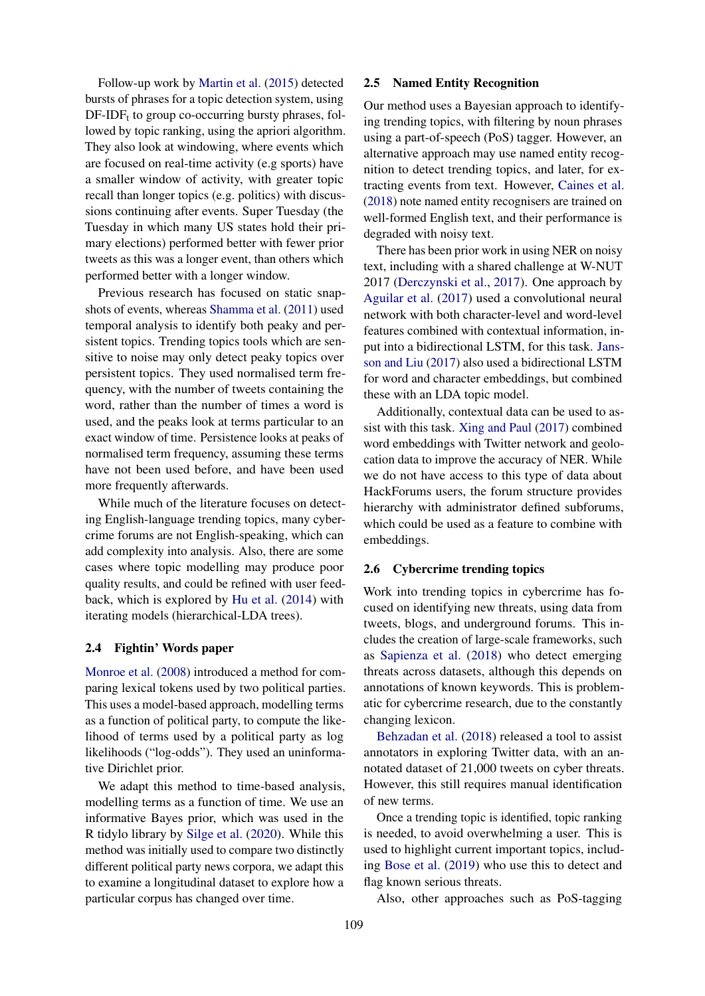Follow-up work by [Martin et al.](#page-8-5) [\(2015\)](#page-8-5) detected bursts of phrases for a topic detection system, using  $DF-IDF_t$  to group co-occurring bursty phrases, followed by topic ranking, using the apriori algorithm. They also look at windowing, where events which are focused on real-time activity (e.g sports) have a smaller window of activity, with greater topic recall than longer topics (e.g. politics) with discussions continuing after events. Super Tuesday (the Tuesday in which many US states hold their primary elections) performed better with fewer prior tweets as this was a longer event, than others which performed better with a longer window.

Previous research has focused on static snapshots of events, whereas [Shamma et al.](#page-8-6) [\(2011\)](#page-8-6) used temporal analysis to identify both peaky and persistent topics. Trending topics tools which are sensitive to noise may only detect peaky topics over persistent topics. They used normalised term frequency, with the number of tweets containing the word, rather than the number of times a word is used, and the peaks look at terms particular to an exact window of time. Persistence looks at peaks of normalised term frequency, assuming these terms have not been used before, and have been used more frequently afterwards.

While much of the literature focuses on detecting English-language trending topics, many cybercrime forums are not English-speaking, which can add complexity into analysis. Also, there are some cases where topic modelling may produce poor quality results, and could be refined with user feedback, which is explored by [Hu et al.](#page-7-4) [\(2014\)](#page-7-4) with iterating models (hierarchical-LDA trees).

### 2.4 Fightin' Words paper

[Monroe et al.](#page-8-0) [\(2008\)](#page-8-0) introduced a method for comparing lexical tokens used by two political parties. This uses a model-based approach, modelling terms as a function of political party, to compute the likelihood of terms used by a political party as log likelihoods ("log-odds"). They used an uninformative Dirichlet prior.

We adapt this method to time-based analysis, modelling terms as a function of time. We use an informative Bayes prior, which was used in the R tidylo library by [Silge et al.](#page-8-1) [\(2020\)](#page-8-1). While this method was initially used to compare two distinctly different political party news corpora, we adapt this to examine a longitudinal dataset to explore how a particular corpus has changed over time.

### 2.5 Named Entity Recognition

Our method uses a Bayesian approach to identifying trending topics, with filtering by noun phrases using a part-of-speech (PoS) tagger. However, an alternative approach may use named entity recognition to detect trending topics, and later, for extracting events from text. However, [Caines et al.](#page-7-5) [\(2018\)](#page-7-5) note named entity recognisers are trained on well-formed English text, and their performance is degraded with noisy text.

There has been prior work in using NER on noisy text, including with a shared challenge at W-NUT 2017 [\(Derczynski et al.,](#page-7-6) [2017\)](#page-7-6). One approach by [Aguilar et al.](#page-7-7) [\(2017\)](#page-7-7) used a convolutional neural network with both character-level and word-level features combined with contextual information, input into a bidirectional LSTM, for this task. [Jans](#page-7-8)[son and Liu](#page-7-8) [\(2017\)](#page-7-8) also used a bidirectional LSTM for word and character embeddings, but combined these with an LDA topic model.

Additionally, contextual data can be used to assist with this task. [Xing and Paul](#page-8-7) [\(2017\)](#page-8-7) combined word embeddings with Twitter network and geolocation data to improve the accuracy of NER. While we do not have access to this type of data about HackForums users, the forum structure provides hierarchy with administrator defined subforums, which could be used as a feature to combine with embeddings.

# 2.6 Cybercrime trending topics

Work into trending topics in cybercrime has focused on identifying new threats, using data from tweets, blogs, and underground forums. This includes the creation of large-scale frameworks, such as [Sapienza et al.](#page-8-8) [\(2018\)](#page-8-8) who detect emerging threats across datasets, although this depends on annotations of known keywords. This is problematic for cybercrime research, due to the constantly changing lexicon.

[Behzadan et al.](#page-7-9) [\(2018\)](#page-7-9) released a tool to assist annotators in exploring Twitter data, with an annotated dataset of 21,000 tweets on cyber threats. However, this still requires manual identification of new terms.

Once a trending topic is identified, topic ranking is needed, to avoid overwhelming a user. This is used to highlight current important topics, including [Bose et al.](#page-7-10) [\(2019\)](#page-7-10) who use this to detect and flag known serious threats.

Also, other approaches such as PoS-tagging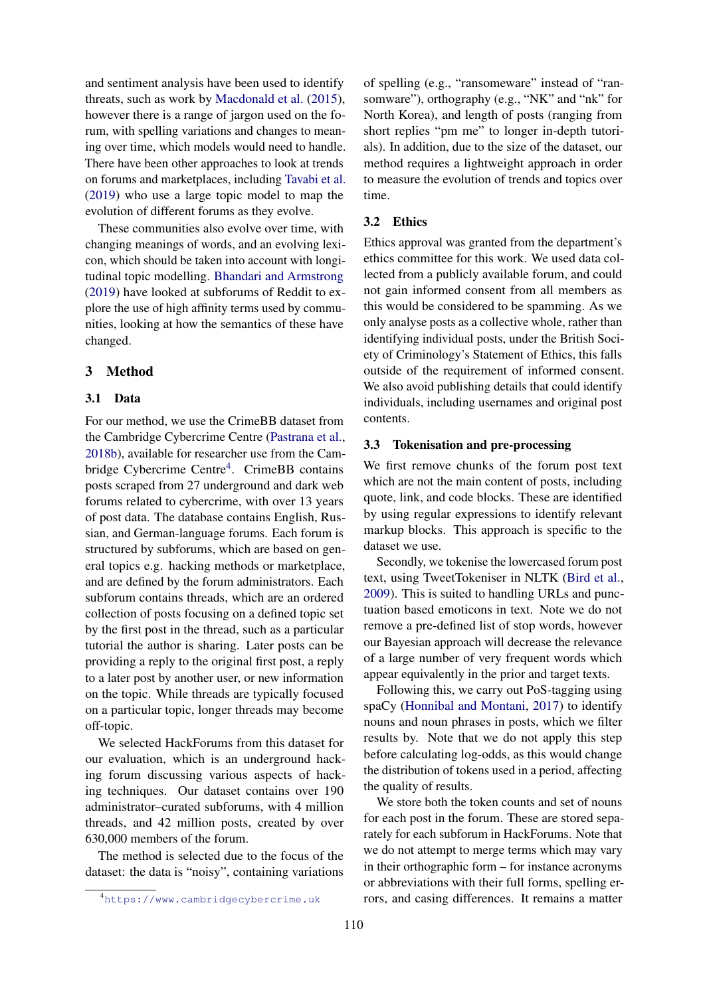and sentiment analysis have been used to identify threats, such as work by [Macdonald et al.](#page-8-9) [\(2015\)](#page-8-9), however there is a range of jargon used on the forum, with spelling variations and changes to meaning over time, which models would need to handle. There have been other approaches to look at trends on forums and marketplaces, including [Tavabi et al.](#page-8-10) [\(2019\)](#page-8-10) who use a large topic model to map the evolution of different forums as they evolve.

These communities also evolve over time, with changing meanings of words, and an evolving lexicon, which should be taken into account with longitudinal topic modelling. [Bhandari and Armstrong](#page-7-11) [\(2019\)](#page-7-11) have looked at subforums of Reddit to explore the use of high affinity terms used by communities, looking at how the semantics of these have changed.

# 3 Method

#### 3.1 Data

For our method, we use the CrimeBB dataset from the Cambridge Cybercrime Centre [\(Pastrana et al.,](#page-8-11) [2018b\)](#page-8-11), available for researcher use from the Cam-bridge Cybercrime Centre<sup>[4](#page-3-0)</sup>. CrimeBB contains posts scraped from 27 underground and dark web forums related to cybercrime, with over 13 years of post data. The database contains English, Russian, and German-language forums. Each forum is structured by subforums, which are based on general topics e.g. hacking methods or marketplace, and are defined by the forum administrators. Each subforum contains threads, which are an ordered collection of posts focusing on a defined topic set by the first post in the thread, such as a particular tutorial the author is sharing. Later posts can be providing a reply to the original first post, a reply to a later post by another user, or new information on the topic. While threads are typically focused on a particular topic, longer threads may become off-topic.

We selected HackForums from this dataset for our evaluation, which is an underground hacking forum discussing various aspects of hacking techniques. Our dataset contains over 190 administrator–curated subforums, with 4 million threads, and 42 million posts, created by over 630,000 members of the forum.

The method is selected due to the focus of the dataset: the data is "noisy", containing variations

of spelling (e.g., "ransomeware" instead of "ransomware"), orthography (e.g., "NK" and "nk" for North Korea), and length of posts (ranging from short replies "pm me" to longer in-depth tutorials). In addition, due to the size of the dataset, our method requires a lightweight approach in order to measure the evolution of trends and topics over time.

#### 3.2 Ethics

Ethics approval was granted from the department's ethics committee for this work. We used data collected from a publicly available forum, and could not gain informed consent from all members as this would be considered to be spamming. As we only analyse posts as a collective whole, rather than identifying individual posts, under the British Society of Criminology's Statement of Ethics, this falls outside of the requirement of informed consent. We also avoid publishing details that could identify individuals, including usernames and original post contents.

### 3.3 Tokenisation and pre-processing

We first remove chunks of the forum post text which are not the main content of posts, including quote, link, and code blocks. These are identified by using regular expressions to identify relevant markup blocks. This approach is specific to the dataset we use.

Secondly, we tokenise the lowercased forum post text, using TweetTokeniser in NLTK [\(Bird et al.,](#page-7-12) [2009\)](#page-7-12). This is suited to handling URLs and punctuation based emoticons in text. Note we do not remove a pre-defined list of stop words, however our Bayesian approach will decrease the relevance of a large number of very frequent words which appear equivalently in the prior and target texts.

Following this, we carry out PoS-tagging using spaCy [\(Honnibal and Montani,](#page-7-13) [2017\)](#page-7-13) to identify nouns and noun phrases in posts, which we filter results by. Note that we do not apply this step before calculating log-odds, as this would change the distribution of tokens used in a period, affecting the quality of results.

We store both the token counts and set of nouns for each post in the forum. These are stored separately for each subforum in HackForums. Note that we do not attempt to merge terms which may vary in their orthographic form – for instance acronyms or abbreviations with their full forms, spelling errors, and casing differences. It remains a matter

<span id="page-3-0"></span><sup>4</sup><https://www.cambridgecybercrime.uk>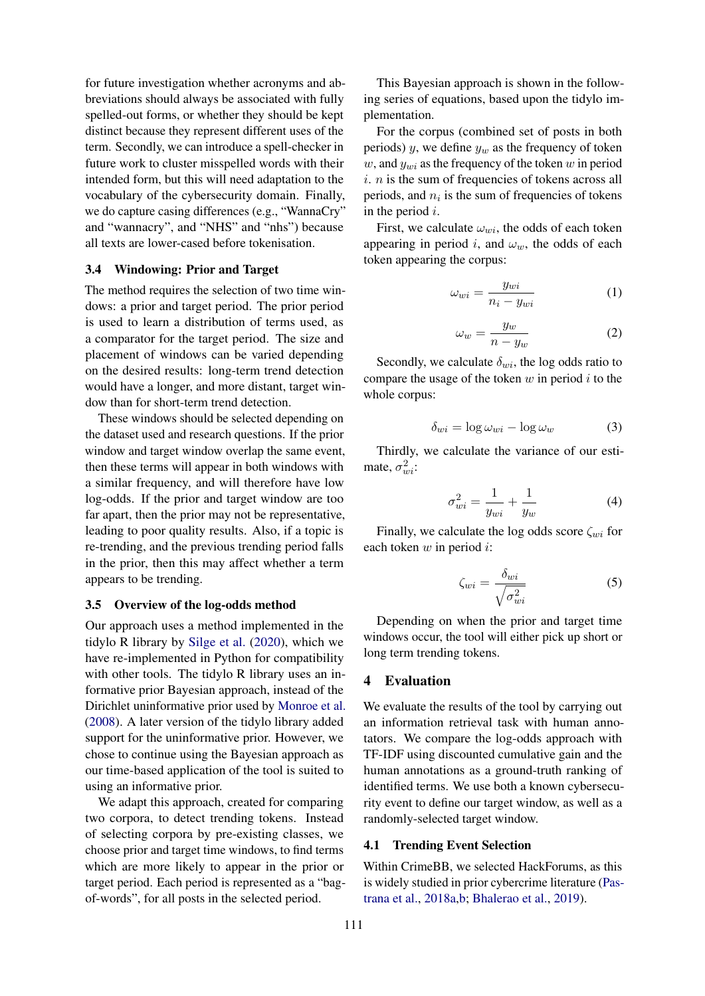for future investigation whether acronyms and abbreviations should always be associated with fully spelled-out forms, or whether they should be kept distinct because they represent different uses of the term. Secondly, we can introduce a spell-checker in future work to cluster misspelled words with their intended form, but this will need adaptation to the vocabulary of the cybersecurity domain. Finally, we do capture casing differences (e.g., "WannaCry" and "wannacry", and "NHS" and "nhs") because all texts are lower-cased before tokenisation.

### 3.4 Windowing: Prior and Target

The method requires the selection of two time windows: a prior and target period. The prior period is used to learn a distribution of terms used, as a comparator for the target period. The size and placement of windows can be varied depending on the desired results: long-term trend detection would have a longer, and more distant, target window than for short-term trend detection.

These windows should be selected depending on the dataset used and research questions. If the prior window and target window overlap the same event, then these terms will appear in both windows with a similar frequency, and will therefore have low log-odds. If the prior and target window are too far apart, then the prior may not be representative, leading to poor quality results. Also, if a topic is re-trending, and the previous trending period falls in the prior, then this may affect whether a term appears to be trending.

### 3.5 Overview of the log-odds method

Our approach uses a method implemented in the tidylo R library by [Silge et al.](#page-8-1) [\(2020\)](#page-8-1), which we have re-implemented in Python for compatibility with other tools. The tidylo R library uses an informative prior Bayesian approach, instead of the Dirichlet uninformative prior used by [Monroe et al.](#page-8-0) [\(2008\)](#page-8-0). A later version of the tidylo library added support for the uninformative prior. However, we chose to continue using the Bayesian approach as our time-based application of the tool is suited to using an informative prior.

We adapt this approach, created for comparing two corpora, to detect trending tokens. Instead of selecting corpora by pre-existing classes, we choose prior and target time windows, to find terms which are more likely to appear in the prior or target period. Each period is represented as a "bagof-words", for all posts in the selected period.

This Bayesian approach is shown in the following series of equations, based upon the tidylo implementation.

For the corpus (combined set of posts in both periods) y, we define  $y_w$  as the frequency of token w, and  $y_{wi}$  as the frequency of the token w in period  $i. n$  is the sum of frequencies of tokens across all periods, and  $n_i$  is the sum of frequencies of tokens in the period  $i$ .

First, we calculate  $\omega_{wi}$ , the odds of each token appearing in period i, and  $\omega_w$ , the odds of each token appearing the corpus:

$$
\omega_{wi} = \frac{y_{wi}}{n_i - y_{wi}}
$$
 (1)

$$
\omega_w = \frac{y_w}{n - y_w} \tag{2}
$$

Secondly, we calculate  $\delta_{wi}$ , the log odds ratio to compare the usage of the token  $w$  in period  $i$  to the whole corpus:

$$
\delta_{wi} = \log \omega_{wi} - \log \omega_{w} \tag{3}
$$

Thirdly, we calculate the variance of our estimate,  $\sigma_{wi}^2$ :

$$
\sigma_{wi}^2 = \frac{1}{y_{wi}} + \frac{1}{y_w} \tag{4}
$$

Finally, we calculate the log odds score  $\zeta_{wi}$  for each token  $w$  in period  $i$ :

$$
\zeta_{wi} = \frac{\delta_{wi}}{\sqrt{\sigma_{wi}^2}}\tag{5}
$$

Depending on when the prior and target time windows occur, the tool will either pick up short or long term trending tokens.

#### 4 Evaluation

We evaluate the results of the tool by carrying out an information retrieval task with human annotators. We compare the log-odds approach with TF-IDF using discounted cumulative gain and the human annotations as a ground-truth ranking of identified terms. We use both a known cybersecurity event to define our target window, as well as a randomly-selected target window.

### 4.1 Trending Event Selection

Within CrimeBB, we selected HackForums, as this is widely studied in prior cybercrime literature [\(Pas](#page-8-12)[trana et al.,](#page-8-12) [2018a,](#page-8-12)[b;](#page-8-11) [Bhalerao et al.,](#page-7-14) [2019\)](#page-7-14).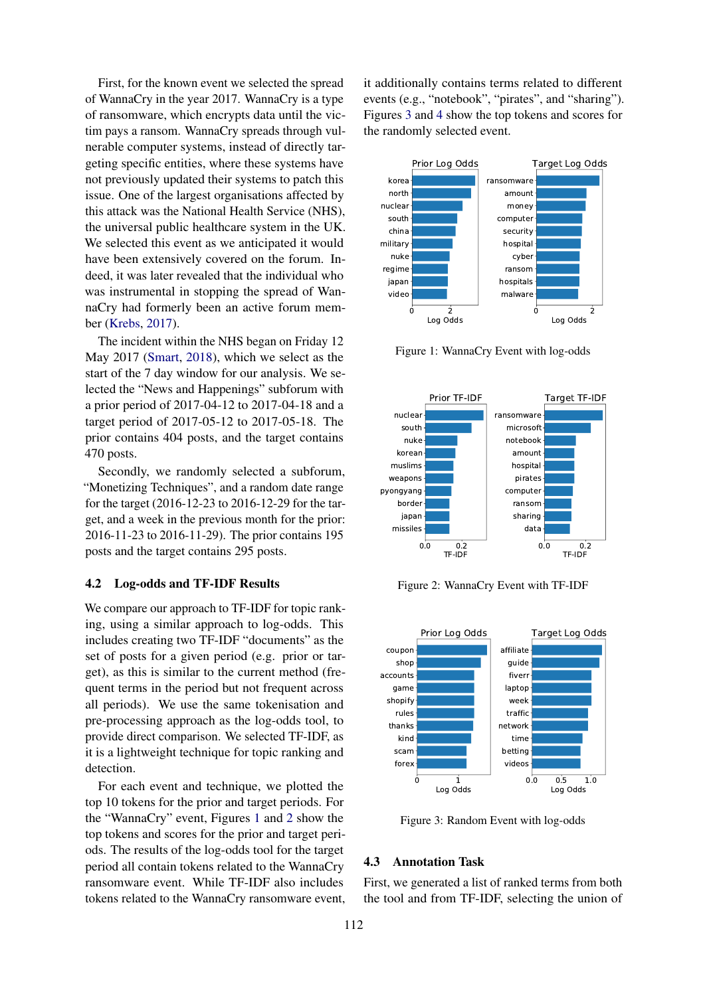First, for the known event we selected the spread of WannaCry in the year 2017. WannaCry is a type of ransomware, which encrypts data until the victim pays a ransom. WannaCry spreads through vulnerable computer systems, instead of directly targeting specific entities, where these systems have not previously updated their systems to patch this issue. One of the largest organisations affected by this attack was the National Health Service (NHS), the universal public healthcare system in the UK. We selected this event as we anticipated it would have been extensively covered on the forum. Indeed, it was later revealed that the individual who was instrumental in stopping the spread of WannaCry had formerly been an active forum member [\(Krebs,](#page-8-13) [2017\)](#page-8-13).

The incident within the NHS began on Friday 12 May 2017 [\(Smart,](#page-8-14) [2018\)](#page-8-14), which we select as the start of the 7 day window for our analysis. We selected the "News and Happenings" subforum with a prior period of 2017-04-12 to 2017-04-18 and a target period of 2017-05-12 to 2017-05-18. The prior contains 404 posts, and the target contains 470 posts.

Secondly, we randomly selected a subforum, "Monetizing Techniques", and a random date range for the target (2016-12-23 to 2016-12-29 for the target, and a week in the previous month for the prior: 2016-11-23 to 2016-11-29). The prior contains 195 posts and the target contains 295 posts.

#### 4.2 Log-odds and TF-IDF Results

We compare our approach to TF-IDF for topic ranking, using a similar approach to log-odds. This includes creating two TF-IDF "documents" as the set of posts for a given period (e.g. prior or target), as this is similar to the current method (frequent terms in the period but not frequent across all periods). We use the same tokenisation and pre-processing approach as the log-odds tool, to provide direct comparison. We selected TF-IDF, as it is a lightweight technique for topic ranking and detection.

For each event and technique, we plotted the top 10 tokens for the prior and target periods. For the "WannaCry" event, Figures [1](#page-5-0) and [2](#page-5-1) show the top tokens and scores for the prior and target periods. The results of the log-odds tool for the target period all contain tokens related to the WannaCry ransomware event. While TF-IDF also includes tokens related to the WannaCry ransomware event,

it additionally contains terms related to different events (e.g., "notebook", "pirates", and "sharing"). Figures [3](#page-5-2) and [4](#page-6-0) show the top tokens and scores for the randomly selected event.

<span id="page-5-0"></span>

Figure 1: WannaCry Event with log-odds

<span id="page-5-1"></span>

Figure 2: WannaCry Event with TF-IDF

<span id="page-5-2"></span>

Figure 3: Random Event with log-odds

#### 4.3 Annotation Task

First, we generated a list of ranked terms from both the tool and from TF-IDF, selecting the union of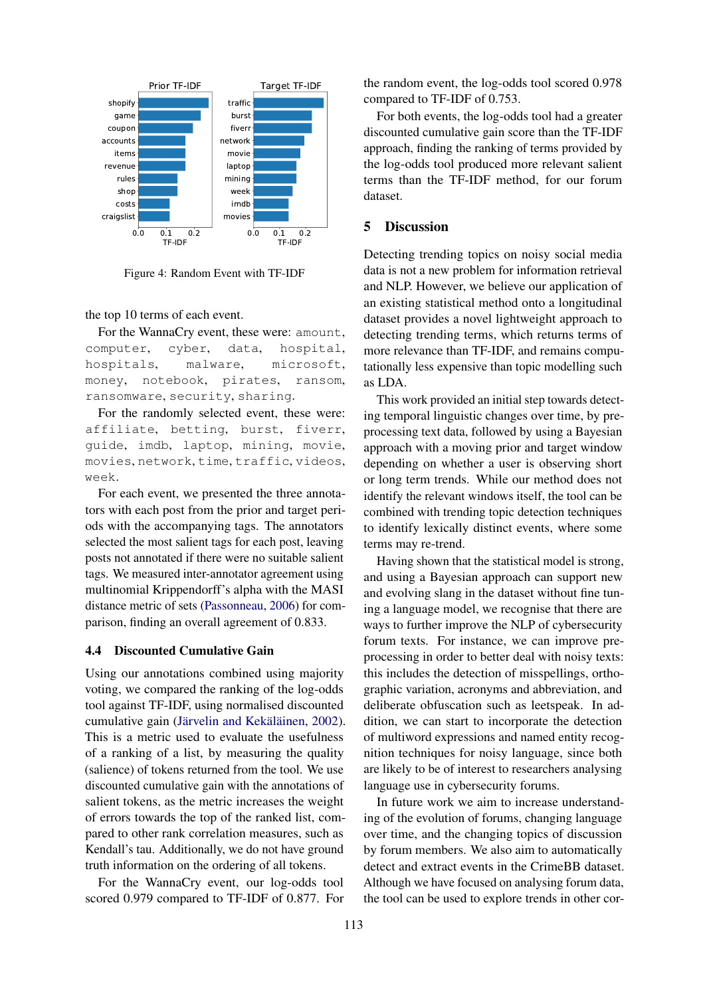<span id="page-6-0"></span>

Figure 4: Random Event with TF-IDF

the top 10 terms of each event.

For the WannaCry event, these were: amount, computer, cyber, data, hospital, hospitals, malware, microsoft, money, notebook, pirates, ransom, ransomware, security, sharing.

For the randomly selected event, these were: affiliate, betting, burst, fiverr, guide, imdb, laptop, mining, movie, movies, network, time, traffic, videos, week.

For each event, we presented the three annotators with each post from the prior and target periods with the accompanying tags. The annotators selected the most salient tags for each post, leaving posts not annotated if there were no suitable salient tags. We measured inter-annotator agreement using multinomial Krippendorff's alpha with the MASI distance metric of sets [\(Passonneau,](#page-8-15) [2006\)](#page-8-15) for comparison, finding an overall agreement of 0.833.

### 4.4 Discounted Cumulative Gain

<sup>0.0</sup> <sup>0.1</sup>  $^{0.2}$  <sup>0.0</sup> <sup>0.1</sup>  $^{0.2}$  <sup>0.2</sup>  $^{0.0}$   $^{0.1}_{\text{Th-DF}}$ <br>igure 4: Random Event with TF-IDF<br>igure 4: Random Event with TF-IDF<br>1 lemma of each event.<br>example, where, data, hospital, notebook, pirates, ransom,<br>no Using our annotations combined using majority voting, we compared the ranking of the log-odds tool against TF-IDF, using normalised discounted cumulative gain (Järvelin and Kekäläinen, [2002\)](#page-7-15). This is a metric used to evaluate the usefulness of a ranking of a list, by measuring the quality (salience) of tokens returned from the tool. We use discounted cumulative gain with the annotations of salient tokens, as the metric increases the weight of errors towards the top of the ranked list, compared to other rank correlation measures, such as Kendall's tau. Additionally, we do not have ground truth information on the ordering of all tokens.

For the WannaCry event, our log-odds tool scored 0.979 compared to TF-IDF of 0.877. For the random event, the log-odds tool scored 0.978 compared to TF-IDF of 0.753.

For both events, the log-odds tool had a greater discounted cumulative gain score than the TF-IDF approach, finding the ranking of terms provided by the log-odds tool produced more relevant salient terms than the TF-IDF method, for our forum dataset.

# 5 Discussion

Detecting trending topics on noisy social media data is not a new problem for information retrieval and NLP. However, we believe our application of an existing statistical method onto a longitudinal dataset provides a novel lightweight approach to detecting trending terms, which returns terms of more relevance than TF-IDF, and remains computationally less expensive than topic modelling such as LDA.

This work provided an initial step towards detecting temporal linguistic changes over time, by preprocessing text data, followed by using a Bayesian approach with a moving prior and target window depending on whether a user is observing short or long term trends. While our method does not identify the relevant windows itself, the tool can be combined with trending topic detection techniques to identify lexically distinct events, where some terms may re-trend.

Having shown that the statistical model is strong, and using a Bayesian approach can support new and evolving slang in the dataset without fine tuning a language model, we recognise that there are ways to further improve the NLP of cybersecurity forum texts. For instance, we can improve preprocessing in order to better deal with noisy texts: this includes the detection of misspellings, orthographic variation, acronyms and abbreviation, and deliberate obfuscation such as leetspeak. In addition, we can start to incorporate the detection of multiword expressions and named entity recognition techniques for noisy language, since both are likely to be of interest to researchers analysing language use in cybersecurity forums.

In future work we aim to increase understanding of the evolution of forums, changing language over time, and the changing topics of discussion by forum members. We also aim to automatically detect and extract events in the CrimeBB dataset. Although we have focused on analysing forum data, the tool can be used to explore trends in other cor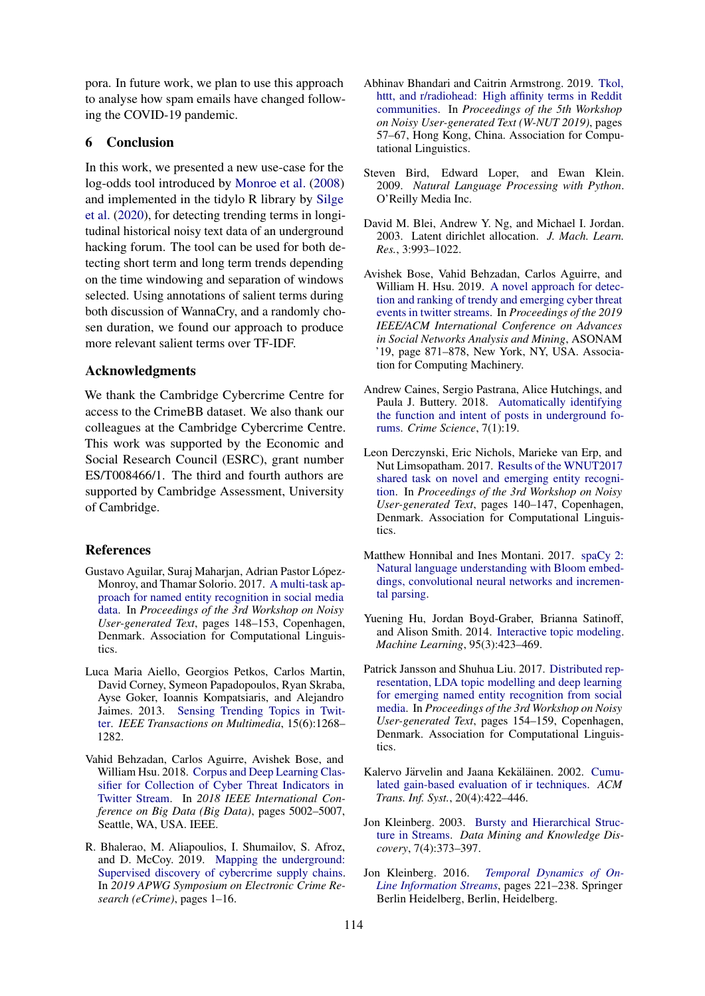pora. In future work, we plan to use this approach to analyse how spam emails have changed following the COVID-19 pandemic.

# 6 Conclusion

In this work, we presented a new use-case for the log-odds tool introduced by [Monroe et al.](#page-8-0) [\(2008\)](#page-8-0) and implemented in the tidylo R library by [Silge](#page-8-1) [et al.](#page-8-1) [\(2020\)](#page-8-1), for detecting trending terms in longitudinal historical noisy text data of an underground hacking forum. The tool can be used for both detecting short term and long term trends depending on the time windowing and separation of windows selected. Using annotations of salient terms during both discussion of WannaCry, and a randomly chosen duration, we found our approach to produce more relevant salient terms over TF-IDF.

#### Acknowledgments

We thank the Cambridge Cybercrime Centre for access to the CrimeBB dataset. We also thank our colleagues at the Cambridge Cybercrime Centre. This work was supported by the Economic and Social Research Council (ESRC), grant number ES/T008466/1. The third and fourth authors are supported by Cambridge Assessment, University of Cambridge.

### References

- <span id="page-7-7"></span>Gustavo Aguilar, Suraj Maharjan, Adrian Pastor López-Monroy, and Thamar Solorio. 2017. [A multi-task ap](https://doi.org/10.18653/v1/W17-4419)[proach for named entity recognition in social media](https://doi.org/10.18653/v1/W17-4419) [data.](https://doi.org/10.18653/v1/W17-4419) In *Proceedings of the 3rd Workshop on Noisy User-generated Text*, pages 148–153, Copenhagen, Denmark. Association for Computational Linguistics.
- <span id="page-7-3"></span>Luca Maria Aiello, Georgios Petkos, Carlos Martin, David Corney, Symeon Papadopoulos, Ryan Skraba, Ayse Goker, Ioannis Kompatsiaris, and Alejandro Jaimes. 2013. [Sensing Trending Topics in Twit](https://doi.org/10.1109/TMM.2013.2265080)[ter.](https://doi.org/10.1109/TMM.2013.2265080) *IEEE Transactions on Multimedia*, 15(6):1268– 1282.
- <span id="page-7-9"></span>Vahid Behzadan, Carlos Aguirre, Avishek Bose, and William Hsu. 2018. [Corpus and Deep Learning Clas](https://doi.org/10.1109/BigData.2018.8622506)[sifier for Collection of Cyber Threat Indicators in](https://doi.org/10.1109/BigData.2018.8622506) [Twitter Stream.](https://doi.org/10.1109/BigData.2018.8622506) In *2018 IEEE International Conference on Big Data (Big Data)*, pages 5002–5007, Seattle, WA, USA. IEEE.
- <span id="page-7-14"></span>R. Bhalerao, M. Aliapoulios, I. Shumailov, S. Afroz, and D. McCoy. 2019. [Mapping the underground:](https://doi.org/10.1109/eCrime47957.2019.9037582) [Supervised discovery of cybercrime supply chains.](https://doi.org/10.1109/eCrime47957.2019.9037582) In *2019 APWG Symposium on Electronic Crime Research (eCrime)*, pages 1–16.
- <span id="page-7-11"></span>Abhinav Bhandari and Caitrin Armstrong. 2019. [Tkol,](https://doi.org/10.18653/v1/D19-5508) [httt, and r/radiohead: High affinity terms in Reddit](https://doi.org/10.18653/v1/D19-5508) [communities.](https://doi.org/10.18653/v1/D19-5508) In *Proceedings of the 5th Workshop on Noisy User-generated Text (W-NUT 2019)*, pages 57–67, Hong Kong, China. Association for Computational Linguistics.
- <span id="page-7-12"></span>Steven Bird, Edward Loper, and Ewan Klein. 2009. *Natural Language Processing with Python*. O'Reilly Media Inc.
- <span id="page-7-0"></span>David M. Blei, Andrew Y. Ng, and Michael I. Jordan. 2003. Latent dirichlet allocation. *J. Mach. Learn. Res.*, 3:993–1022.
- <span id="page-7-10"></span>Avishek Bose, Vahid Behzadan, Carlos Aguirre, and William H. Hsu. 2019. [A novel approach for detec](https://doi.org/10.1145/3341161.3344379)[tion and ranking of trendy and emerging cyber threat](https://doi.org/10.1145/3341161.3344379) [events in twitter streams.](https://doi.org/10.1145/3341161.3344379) In *Proceedings of the 2019 IEEE/ACM International Conference on Advances in Social Networks Analysis and Mining*, ASONAM '19, page 871–878, New York, NY, USA. Association for Computing Machinery.
- <span id="page-7-5"></span>Andrew Caines, Sergio Pastrana, Alice Hutchings, and Paula J. Buttery. 2018. [Automatically identifying](https://doi.org/10.1186/s40163-018-0094-4) [the function and intent of posts in underground fo](https://doi.org/10.1186/s40163-018-0094-4)[rums.](https://doi.org/10.1186/s40163-018-0094-4) *Crime Science*, 7(1):19.
- <span id="page-7-6"></span>Leon Derczynski, Eric Nichols, Marieke van Erp, and Nut Limsopatham. 2017. [Results of the WNUT2017](https://doi.org/10.18653/v1/W17-4418) [shared task on novel and emerging entity recogni](https://doi.org/10.18653/v1/W17-4418)[tion.](https://doi.org/10.18653/v1/W17-4418) In *Proceedings of the 3rd Workshop on Noisy User-generated Text*, pages 140–147, Copenhagen, Denmark. Association for Computational Linguistics.
- <span id="page-7-13"></span>Matthew Honnibal and Ines Montani. 2017. [spaCy 2:](https://github.com/explosion/spaCy) [Natural language understanding with Bloom embed](https://github.com/explosion/spaCy)[dings, convolutional neural networks and incremen](https://github.com/explosion/spaCy)[tal parsing.](https://github.com/explosion/spaCy)
- <span id="page-7-4"></span>Yuening Hu, Jordan Boyd-Graber, Brianna Satinoff, and Alison Smith. 2014. [Interactive topic modeling.](https://doi.org/10.1007/s10994-013-5413-0) *Machine Learning*, 95(3):423–469.
- <span id="page-7-8"></span>Patrick Jansson and Shuhua Liu. 2017. [Distributed rep](https://doi.org/10.18653/v1/W17-4420)[resentation, LDA topic modelling and deep learning](https://doi.org/10.18653/v1/W17-4420) [for emerging named entity recognition from social](https://doi.org/10.18653/v1/W17-4420) [media.](https://doi.org/10.18653/v1/W17-4420) In *Proceedings of the 3rd Workshop on Noisy User-generated Text*, pages 154–159, Copenhagen, Denmark. Association for Computational Linguistics.
- <span id="page-7-15"></span>Kalervo Järvelin and Jaana Kekäläinen. 2002. [Cumu](https://doi.org/10.1145/582415.582418)[lated gain-based evaluation of ir techniques.](https://doi.org/10.1145/582415.582418) *ACM Trans. Inf. Syst.*, 20(4):422–446.
- <span id="page-7-1"></span>Jon Kleinberg. 2003. [Bursty and Hierarchical Struc](https://doi.org/10.1023/A:1024940629314)[ture in Streams.](https://doi.org/10.1023/A:1024940629314) *Data Mining and Knowledge Discovery*, 7(4):373–397.
- <span id="page-7-2"></span>Jon Kleinberg. 2016. *[Temporal Dynamics of On-](https://doi.org/10.1007/978-3-540-28608-0_11)[Line Information Streams](https://doi.org/10.1007/978-3-540-28608-0_11)*, pages 221–238. Springer Berlin Heidelberg, Berlin, Heidelberg.